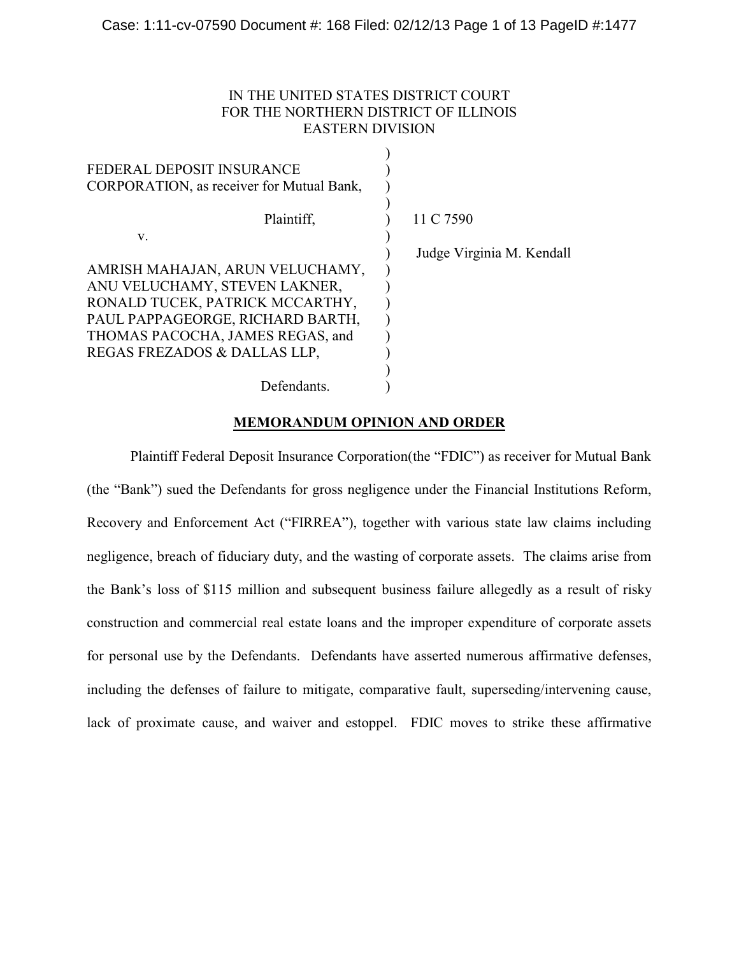# IN THE UNITED STATES DISTRICT COURT FOR THE NORTHERN DISTRICT OF ILLINOIS EASTERN DIVISION

| FEDERAL DEPOSIT INSURANCE<br>CORPORATION, as receiver for Mutual Bank, |                           |
|------------------------------------------------------------------------|---------------------------|
| Plaintiff.                                                             | 11 C 7590                 |
| V.                                                                     |                           |
|                                                                        | Judge Virginia M. Kendall |
| AMRISH MAHAJAN, ARUN VELUCHAMY,                                        |                           |
| ANU VELUCHAMY, STEVEN LAKNER,                                          |                           |
| RONALD TUCEK, PATRICK MCCARTHY,                                        |                           |
| PAUL PAPPAGEORGE, RICHARD BARTH,                                       |                           |
| THOMAS PACOCHA, JAMES REGAS, and                                       |                           |
| REGAS FREZADOS & DALLAS LLP,                                           |                           |
|                                                                        |                           |
| Defendants.                                                            |                           |

# **MEMORANDUM OPINION AND ORDER**

Plaintiff Federal Deposit Insurance Corporation(the "FDIC") as receiver for Mutual Bank (the "Bank") sued the Defendants for gross negligence under the Financial Institutions Reform, Recovery and Enforcement Act ("FIRREA"), together with various state law claims including negligence, breach of fiduciary duty, and the wasting of corporate assets. The claims arise from the Bank's loss of \$115 million and subsequent business failure allegedly as a result of risky construction and commercial real estate loans and the improper expenditure of corporate assets for personal use by the Defendants. Defendants have asserted numerous affirmative defenses, including the defenses of failure to mitigate, comparative fault, superseding/intervening cause, lack of proximate cause, and waiver and estoppel. FDIC moves to strike these affirmative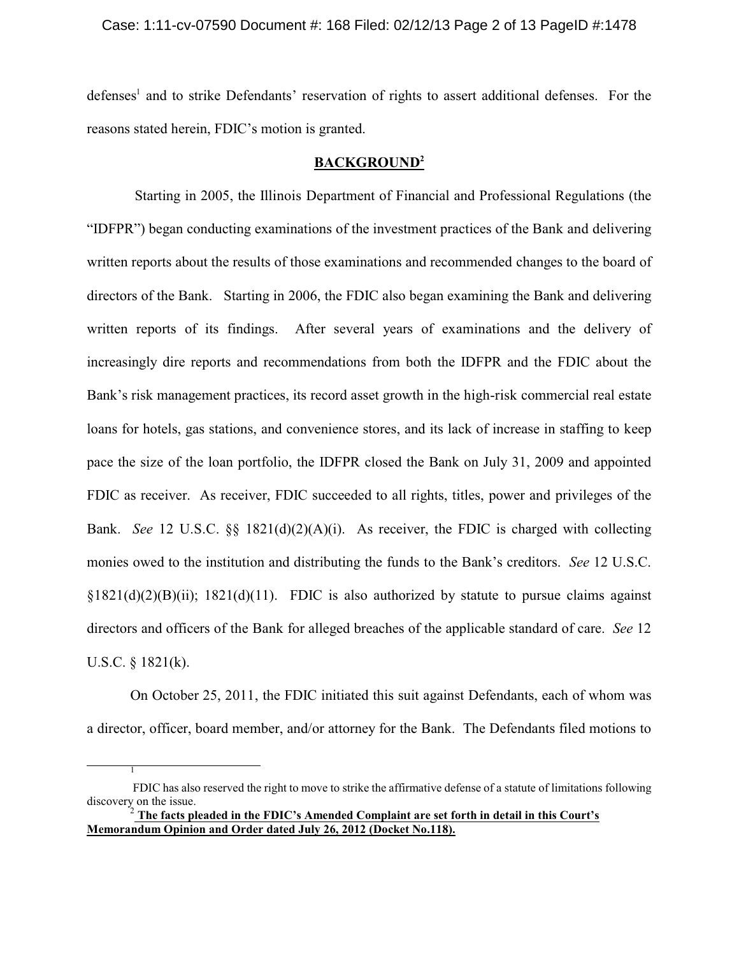### Case: 1:11-cv-07590 Document #: 168 Filed: 02/12/13 Page 2 of 13 PageID #:1478

defenses<sup>1</sup> and to strike Defendants' reservation of rights to assert additional defenses. For the reasons stated herein, FDIC's motion is granted.

### **BACKGROUND<sup>2</sup>**

Starting in 2005, the Illinois Department of Financial and Professional Regulations (the "IDFPR") began conducting examinations of the investment practices of the Bank and delivering written reports about the results of those examinations and recommended changes to the board of directors of the Bank. Starting in 2006, the FDIC also began examining the Bank and delivering written reports of its findings. After several years of examinations and the delivery of increasingly dire reports and recommendations from both the IDFPR and the FDIC about the Bank's risk management practices, its record asset growth in the high-risk commercial real estate loans for hotels, gas stations, and convenience stores, and its lack of increase in staffing to keep pace the size of the loan portfolio, the IDFPR closed the Bank on July 31, 2009 and appointed FDIC as receiver. As receiver, FDIC succeeded to all rights, titles, power and privileges of the Bank. *See* 12 U.S.C. §§ 1821(d)(2)(A)(i). As receiver, the FDIC is charged with collecting monies owed to the institution and distributing the funds to the Bank's creditors. *See* 12 U.S.C.  $\S1821(d)(2)(B)(ii)$ ; 1821(d)(11). FDIC is also authorized by statute to pursue claims against directors and officers of the Bank for alleged breaches of the applicable standard of care. *See* 12 U.S.C. § 1821(k).

On October 25, 2011, the FDIC initiated this suit against Defendants, each of whom was a director, officer, board member, and/or attorney for the Bank. The Defendants filed motions to

1

FDIC has also reserved the right to move to strike the affirmative defense of a statute of limitations following discovery on the issue.

 $^2$  The facts pleaded in the FDIC's Amended Complaint are set forth in detail in this Court's **Memorandum Opinion and Order dated July 26, 2012 (Docket No.118).**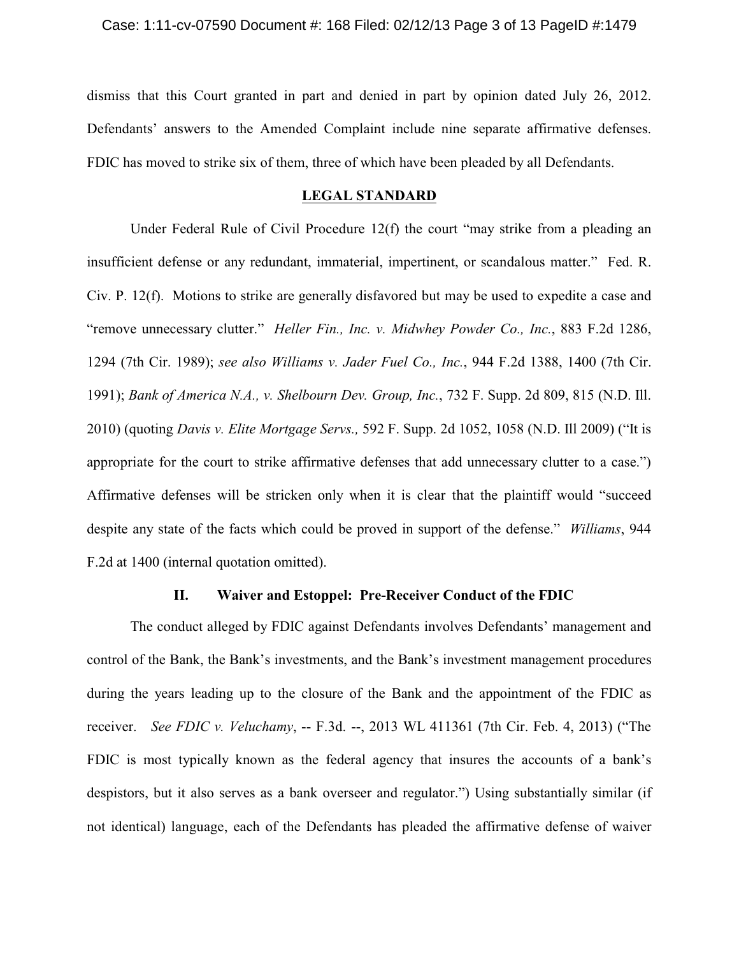dismiss that this Court granted in part and denied in part by opinion dated July 26, 2012. Defendants' answers to the Amended Complaint include nine separate affirmative defenses. FDIC has moved to strike six of them, three of which have been pleaded by all Defendants.

### **LEGAL STANDARD**

Under Federal Rule of Civil Procedure 12(f) the court "may strike from a pleading an insufficient defense or any redundant, immaterial, impertinent, or scandalous matter." Fed. R. Civ. P. 12(f). Motions to strike are generally disfavored but may be used to expedite a case and "remove unnecessary clutter." *Heller Fin., Inc. v. Midwhey Powder Co., Inc.*, 883 F.2d 1286, 1294 (7th Cir. 1989); *see also Williams v. Jader Fuel Co., Inc.*, 944 F.2d 1388, 1400 (7th Cir. 1991); *Bank of America N.A., v. Shelbourn Dev. Group, Inc.*, 732 F. Supp. 2d 809, 815 (N.D. Ill. 2010) (quoting *Davis v. Elite Mortgage Servs.,* 592 F. Supp. 2d 1052, 1058 (N.D. Ill 2009) ("It is appropriate for the court to strike affirmative defenses that add unnecessary clutter to a case.") Affirmative defenses will be stricken only when it is clear that the plaintiff would "succeed despite any state of the facts which could be proved in support of the defense." *Williams*, 944 F.2d at 1400 (internal quotation omitted).

## **II. Waiver and Estoppel: Pre-Receiver Conduct of the FDIC**

The conduct alleged by FDIC against Defendants involves Defendants' management and control of the Bank, the Bank's investments, and the Bank's investment management procedures during the years leading up to the closure of the Bank and the appointment of the FDIC as receiver. *See FDIC v. Veluchamy*, -- F.3d. --, 2013 WL 411361 (7th Cir. Feb. 4, 2013) ("The FDIC is most typically known as the federal agency that insures the accounts of a bank's despistors, but it also serves as a bank overseer and regulator.") Using substantially similar (if not identical) language, each of the Defendants has pleaded the affirmative defense of waiver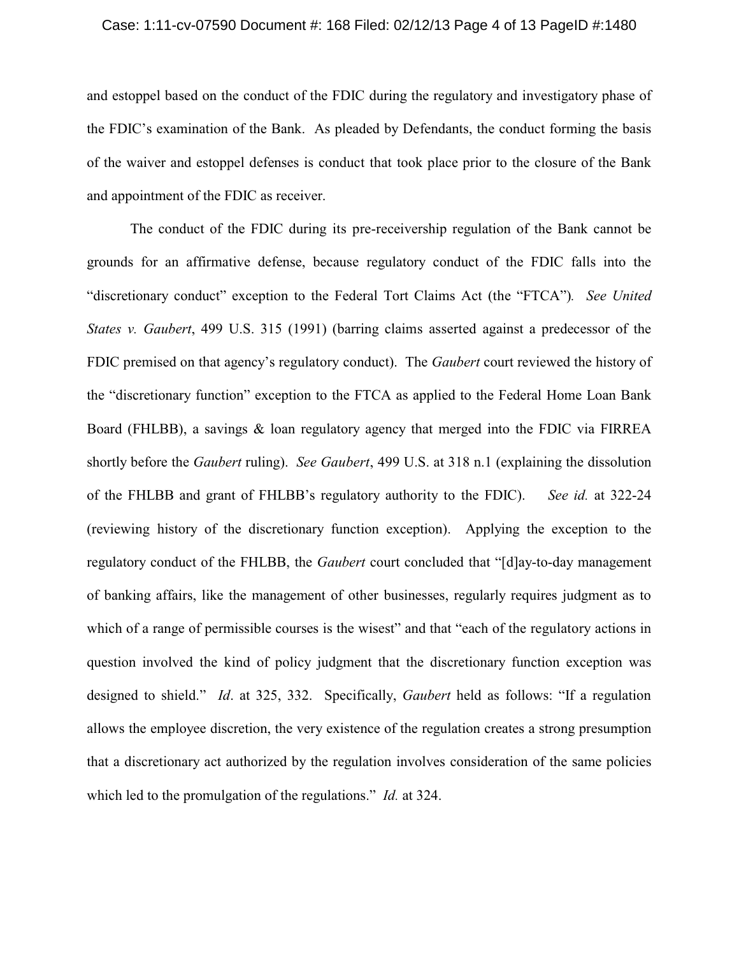### Case: 1:11-cv-07590 Document #: 168 Filed: 02/12/13 Page 4 of 13 PageID #:1480

and estoppel based on the conduct of the FDIC during the regulatory and investigatory phase of the FDIC's examination of the Bank. As pleaded by Defendants, the conduct forming the basis of the waiver and estoppel defenses is conduct that took place prior to the closure of the Bank and appointment of the FDIC as receiver.

The conduct of the FDIC during its pre-receivership regulation of the Bank cannot be grounds for an affirmative defense, because regulatory conduct of the FDIC falls into the "discretionary conduct" exception to the Federal Tort Claims Act (the "FTCA")*. See United States v. Gaubert*, 499 U.S. 315 (1991) (barring claims asserted against a predecessor of the FDIC premised on that agency's regulatory conduct). The *Gaubert* court reviewed the history of the "discretionary function" exception to the FTCA as applied to the Federal Home Loan Bank Board (FHLBB), a savings & loan regulatory agency that merged into the FDIC via FIRREA shortly before the *Gaubert* ruling). *See Gaubert*, 499 U.S. at 318 n.1 (explaining the dissolution of the FHLBB and grant of FHLBB's regulatory authority to the FDIC). *See id.* at 322-24 (reviewing history of the discretionary function exception). Applying the exception to the regulatory conduct of the FHLBB, the *Gaubert* court concluded that "[d]ay-to-day management of banking affairs, like the management of other businesses, regularly requires judgment as to which of a range of permissible courses is the wisest" and that "each of the regulatory actions in question involved the kind of policy judgment that the discretionary function exception was designed to shield." *Id*. at 325, 332. Specifically, *Gaubert* held as follows: "If a regulation allows the employee discretion, the very existence of the regulation creates a strong presumption that a discretionary act authorized by the regulation involves consideration of the same policies which led to the promulgation of the regulations." *Id.* at 324.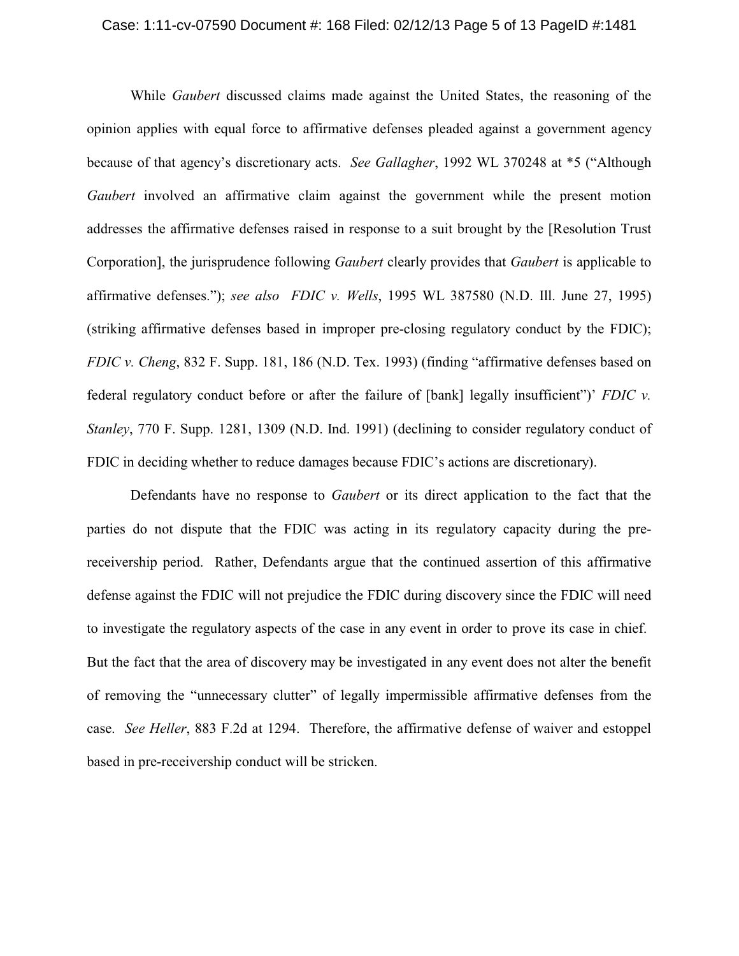#### Case: 1:11-cv-07590 Document #: 168 Filed: 02/12/13 Page 5 of 13 PageID #:1481

While *Gaubert* discussed claims made against the United States, the reasoning of the opinion applies with equal force to affirmative defenses pleaded against a government agency because of that agency's discretionary acts. *See Gallagher*, 1992 WL 370248 at \*5 ("Although *Gaubert* involved an affirmative claim against the government while the present motion addresses the affirmative defenses raised in response to a suit brought by the [Resolution Trust Corporation], the jurisprudence following *Gaubert* clearly provides that *Gaubert* is applicable to affirmative defenses."); *see also FDIC v. Wells*, 1995 WL 387580 (N.D. Ill. June 27, 1995) (striking affirmative defenses based in improper pre-closing regulatory conduct by the FDIC); *FDIC v. Cheng*, 832 F. Supp. 181, 186 (N.D. Tex. 1993) (finding "affirmative defenses based on federal regulatory conduct before or after the failure of [bank] legally insufficient")' *FDIC v. Stanley*, 770 F. Supp. 1281, 1309 (N.D. Ind. 1991) (declining to consider regulatory conduct of FDIC in deciding whether to reduce damages because FDIC's actions are discretionary).

Defendants have no response to *Gaubert* or its direct application to the fact that the parties do not dispute that the FDIC was acting in its regulatory capacity during the prereceivership period. Rather, Defendants argue that the continued assertion of this affirmative defense against the FDIC will not prejudice the FDIC during discovery since the FDIC will need to investigate the regulatory aspects of the case in any event in order to prove its case in chief. But the fact that the area of discovery may be investigated in any event does not alter the benefit of removing the "unnecessary clutter" of legally impermissible affirmative defenses from the case. *See Heller*, 883 F.2d at 1294. Therefore, the affirmative defense of waiver and estoppel based in pre-receivership conduct will be stricken.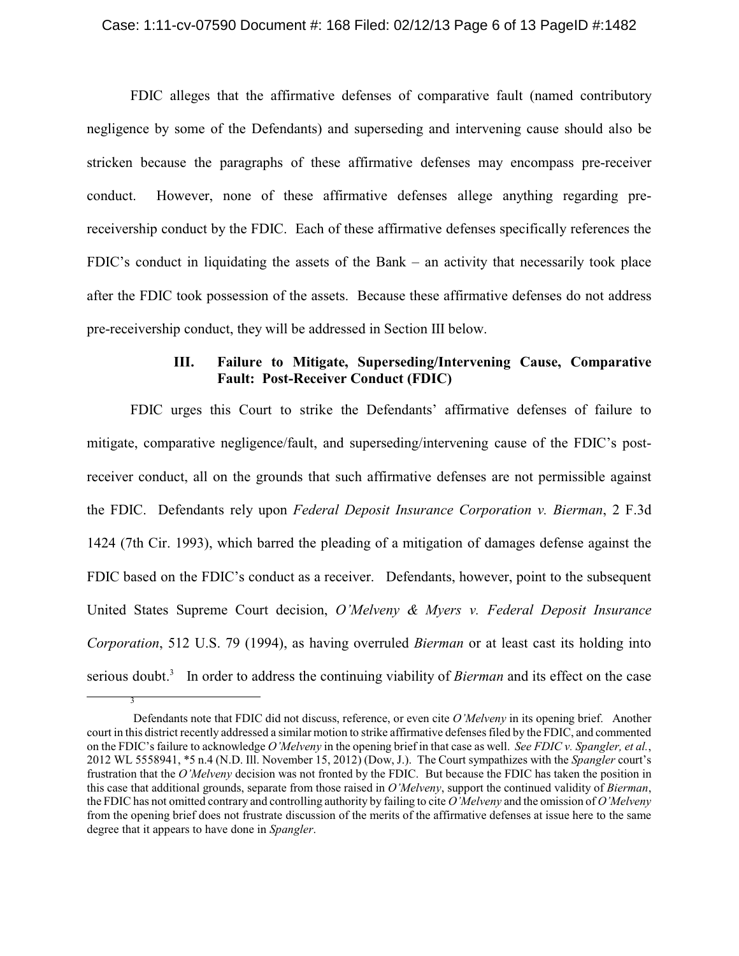#### Case: 1:11-cv-07590 Document #: 168 Filed: 02/12/13 Page 6 of 13 PageID #:1482

FDIC alleges that the affirmative defenses of comparative fault (named contributory negligence by some of the Defendants) and superseding and intervening cause should also be stricken because the paragraphs of these affirmative defenses may encompass pre-receiver conduct. However, none of these affirmative defenses allege anything regarding prereceivership conduct by the FDIC. Each of these affirmative defenses specifically references the FDIC's conduct in liquidating the assets of the Bank – an activity that necessarily took place after the FDIC took possession of the assets. Because these affirmative defenses do not address pre-receivership conduct, they will be addressed in Section III below.

# **III. Failure to Mitigate, Superseding/Intervening Cause, Comparative Fault: Post-Receiver Conduct (FDIC)**

FDIC urges this Court to strike the Defendants' affirmative defenses of failure to mitigate, comparative negligence/fault, and superseding/intervening cause of the FDIC's postreceiver conduct, all on the grounds that such affirmative defenses are not permissible against the FDIC. Defendants rely upon *Federal Deposit Insurance Corporation v. Bierman*, 2 F.3d 1424 (7th Cir. 1993), which barred the pleading of a mitigation of damages defense against the FDIC based on the FDIC's conduct as a receiver. Defendants, however, point to the subsequent United States Supreme Court decision, *O'Melveny & Myers v. Federal Deposit Insurance Corporation*, 512 U.S. 79 (1994), as having overruled *Bierman* or at least cast its holding into serious doubt.<sup>3</sup> In order to address the continuing viability of *Bierman* and its effect on the case

3

Defendants note that FDIC did not discuss, reference, or even cite *O'Melveny* in its opening brief. Another court in this district recently addressed a similar motion to strike affirmative defenses filed by the FDIC, and commented on the FDIC'sfailure to acknowledge *O'Melveny* in the opening brief in that case as well. *See FDIC v. Spangler, et al.*, 2012 WL 5558941, \*5 n.4 (N.D. Ill. November 15, 2012) (Dow, J.). The Court sympathizes with the *Spangler* court's frustration that the *O'Melveny* decision was not fronted by the FDIC. But because the FDIC has taken the position in this case that additional grounds, separate from those raised in *O'Melveny*, support the continued validity of *Bierman*, the FDIC has not omitted contrary and controlling authority by failing to cite *O'Melveny* and the omission of *O'Melveny* from the opening brief does not frustrate discussion of the merits of the affirmative defenses at issue here to the same degree that it appears to have done in *Spangler*.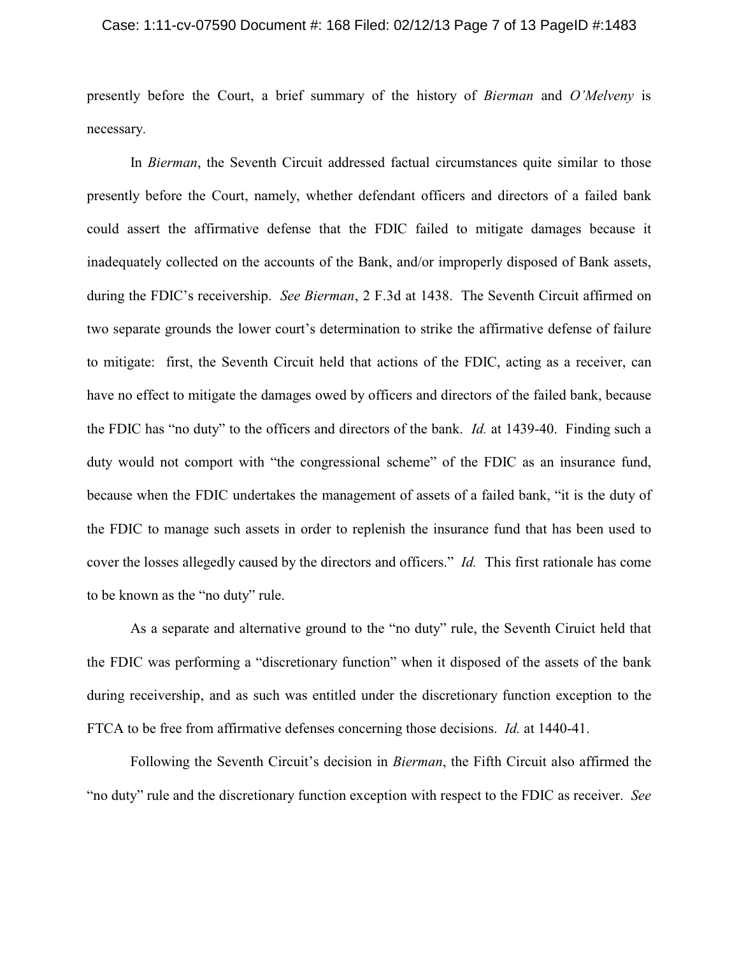#### Case: 1:11-cv-07590 Document #: 168 Filed: 02/12/13 Page 7 of 13 PageID #:1483

presently before the Court, a brief summary of the history of *Bierman* and *O'Melveny* is necessary.

In *Bierman*, the Seventh Circuit addressed factual circumstances quite similar to those presently before the Court, namely, whether defendant officers and directors of a failed bank could assert the affirmative defense that the FDIC failed to mitigate damages because it inadequately collected on the accounts of the Bank, and/or improperly disposed of Bank assets, during the FDIC's receivership. *See Bierman*, 2 F.3d at 1438. The Seventh Circuit affirmed on two separate grounds the lower court's determination to strike the affirmative defense of failure to mitigate: first, the Seventh Circuit held that actions of the FDIC, acting as a receiver, can have no effect to mitigate the damages owed by officers and directors of the failed bank, because the FDIC has "no duty" to the officers and directors of the bank. *Id.* at 1439-40. Finding such a duty would not comport with "the congressional scheme" of the FDIC as an insurance fund, because when the FDIC undertakes the management of assets of a failed bank, "it is the duty of the FDIC to manage such assets in order to replenish the insurance fund that has been used to cover the losses allegedly caused by the directors and officers." *Id.* This first rationale has come to be known as the "no duty" rule.

As a separate and alternative ground to the "no duty" rule, the Seventh Ciruict held that the FDIC was performing a "discretionary function" when it disposed of the assets of the bank during receivership, and as such was entitled under the discretionary function exception to the FTCA to be free from affirmative defenses concerning those decisions. *Id.* at 1440-41.

Following the Seventh Circuit's decision in *Bierman*, the Fifth Circuit also affirmed the "no duty" rule and the discretionary function exception with respect to the FDIC as receiver. *See*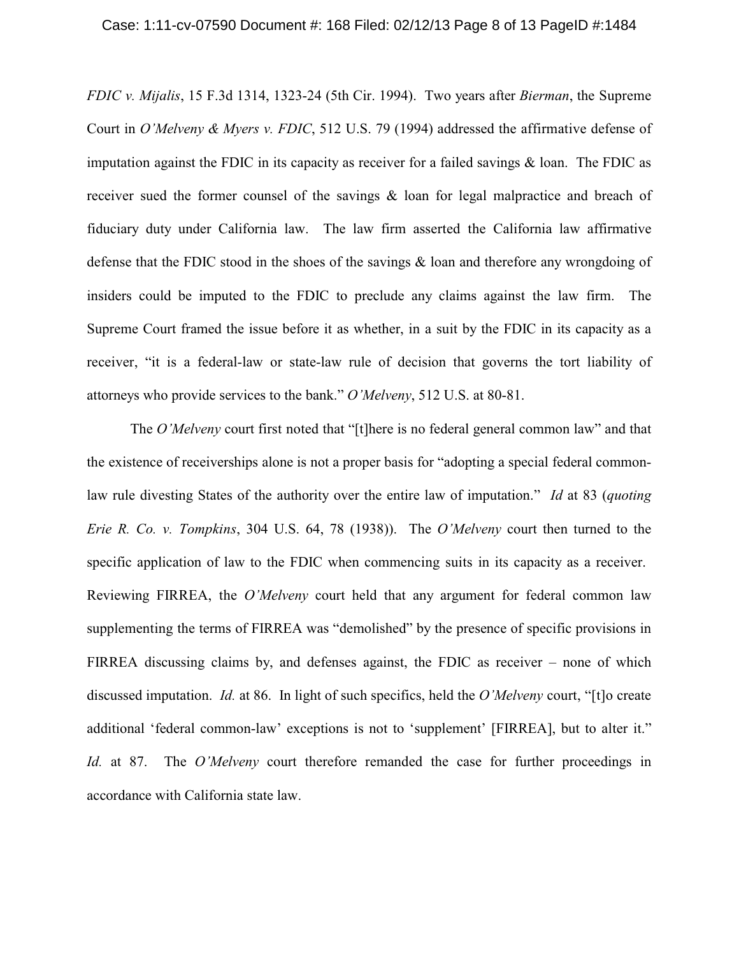*FDIC v. Mijalis*, 15 F.3d 1314, 1323-24 (5th Cir. 1994). Two years after *Bierman*, the Supreme Court in *O'Melveny & Myers v. FDIC*, 512 U.S. 79 (1994) addressed the affirmative defense of imputation against the FDIC in its capacity as receiver for a failed savings  $\&$  loan. The FDIC as receiver sued the former counsel of the savings & loan for legal malpractice and breach of fiduciary duty under California law. The law firm asserted the California law affirmative defense that the FDIC stood in the shoes of the savings & loan and therefore any wrongdoing of insiders could be imputed to the FDIC to preclude any claims against the law firm. The Supreme Court framed the issue before it as whether, in a suit by the FDIC in its capacity as a receiver, "it is a federal-law or state-law rule of decision that governs the tort liability of attorneys who provide services to the bank." *O'Melveny*, 512 U.S. at 80-81.

The *O'Melveny* court first noted that "[t]here is no federal general common law" and that the existence of receiverships alone is not a proper basis for "adopting a special federal commonlaw rule divesting States of the authority over the entire law of imputation." *Id* at 83 (*quoting Erie R. Co. v. Tompkins*, 304 U.S. 64, 78 (1938)). The *O'Melveny* court then turned to the specific application of law to the FDIC when commencing suits in its capacity as a receiver. Reviewing FIRREA, the *O'Melveny* court held that any argument for federal common law supplementing the terms of FIRREA was "demolished" by the presence of specific provisions in FIRREA discussing claims by, and defenses against, the FDIC as receiver – none of which discussed imputation. *Id.* at 86. In light of such specifics, held the *O'Melveny* court, "[t]o create additional 'federal common-law' exceptions is not to 'supplement' [FIRREA], but to alter it." *Id.* at 87. The *O'Melveny* court therefore remanded the case for further proceedings in accordance with California state law.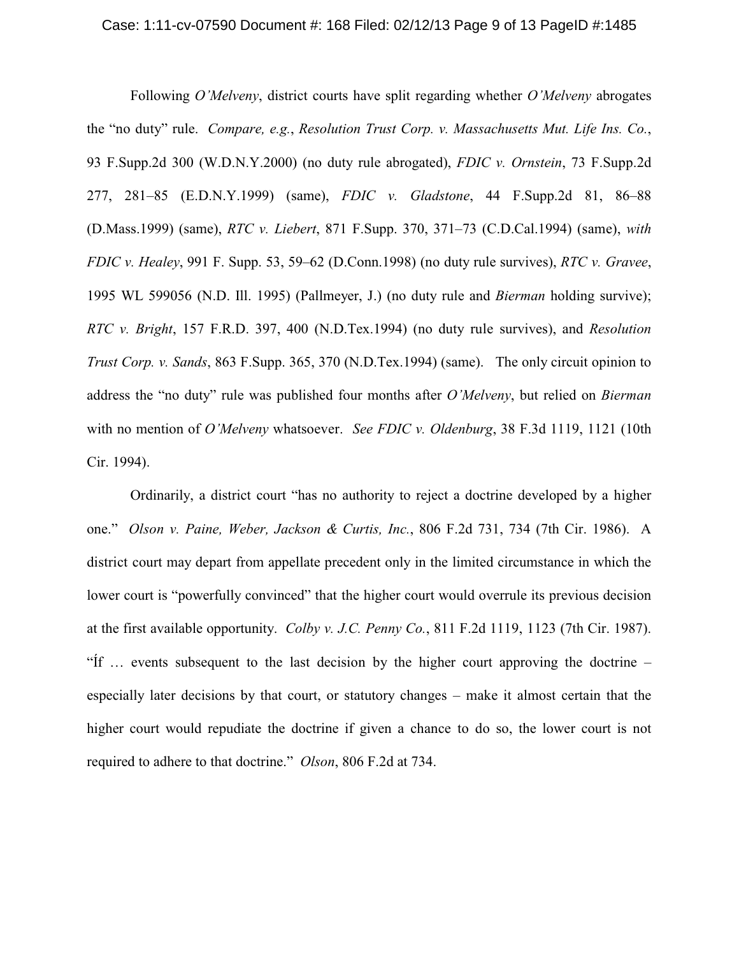### Case: 1:11-cv-07590 Document #: 168 Filed: 02/12/13 Page 9 of 13 PageID #:1485

Following *O'Melveny*, district courts have split regarding whether *O'Melveny* abrogates the "no duty" rule. *Compare, e.g.*, *Resolution Trust Corp. v. Massachusetts Mut. Life Ins. Co.*, 93 F.Supp.2d 300 (W.D.N.Y.2000) (no duty rule abrogated), *FDIC v. Ornstein*, 73 F.Supp.2d 277, 281–85 (E.D.N.Y.1999) (same), *FDIC v. Gladstone*, 44 F.Supp.2d 81, 86–88 (D.Mass.1999) (same), *RTC v. Liebert*, 871 F.Supp. 370, 371–73 (C.D.Cal.1994) (same), *with FDIC v. Healey*, 991 F. Supp. 53, 59–62 (D.Conn.1998) (no duty rule survives), *RTC v. Gravee*, 1995 WL 599056 (N.D. Ill. 1995) (Pallmeyer, J.) (no duty rule and *Bierman* holding survive); *RTC v. Bright*, 157 F.R.D. 397, 400 (N.D.Tex.1994) (no duty rule survives), and *Resolution Trust Corp. v. Sands*, 863 F.Supp. 365, 370 (N.D.Tex.1994) (same). The only circuit opinion to address the "no duty" rule was published four months after *O'Melveny*, but relied on *Bierman* with no mention of *O'Melveny* whatsoever. *See FDIC v. Oldenburg*, 38 F.3d 1119, 1121 (10th Cir. 1994).

Ordinarily, a district court "has no authority to reject a doctrine developed by a higher one." *Olson v. Paine, Weber, Jackson & Curtis, Inc.*, 806 F.2d 731, 734 (7th Cir. 1986). A district court may depart from appellate precedent only in the limited circumstance in which the lower court is "powerfully convinced" that the higher court would overrule its previous decision at the first available opportunity. *Colby v. J.C. Penny Co.*, 811 F.2d 1119, 1123 (7th Cir. 1987). "Íf … events subsequent to the last decision by the higher court approving the doctrine – especially later decisions by that court, or statutory changes – make it almost certain that the higher court would repudiate the doctrine if given a chance to do so, the lower court is not required to adhere to that doctrine." *Olson*, 806 F.2d at 734.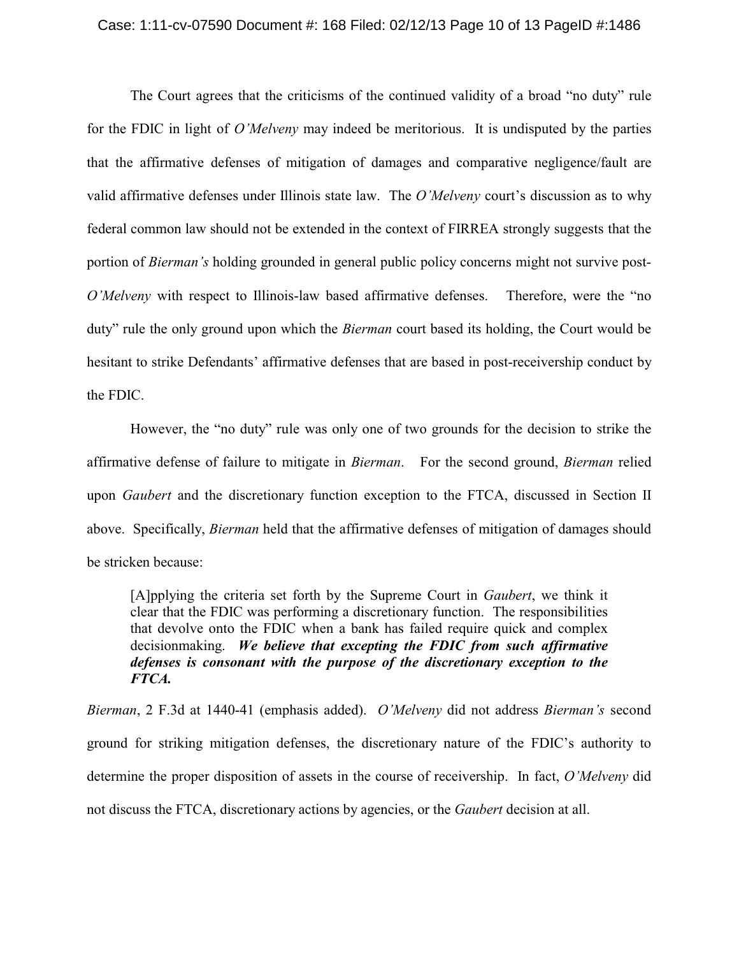### Case: 1:11-cv-07590 Document #: 168 Filed: 02/12/13 Page 10 of 13 PageID #:1486

The Court agrees that the criticisms of the continued validity of a broad "no duty" rule for the FDIC in light of *O'Melveny* may indeed be meritorious. It is undisputed by the parties that the affirmative defenses of mitigation of damages and comparative negligence/fault are valid affirmative defenses under Illinois state law. The *O'Melveny* court's discussion as to why federal common law should not be extended in the context of FIRREA strongly suggests that the portion of *Bierman's* holding grounded in general public policy concerns might not survive post-*O'Melveny* with respect to Illinois-law based affirmative defenses. Therefore, were the "no duty" rule the only ground upon which the *Bierman* court based its holding, the Court would be hesitant to strike Defendants' affirmative defenses that are based in post-receivership conduct by the FDIC.

However, the "no duty" rule was only one of two grounds for the decision to strike the affirmative defense of failure to mitigate in *Bierman*. For the second ground, *Bierman* relied upon *Gaubert* and the discretionary function exception to the FTCA, discussed in Section II above. Specifically, *Bierman* held that the affirmative defenses of mitigation of damages should be stricken because:

[A]pplying the criteria set forth by the Supreme Court in *Gaubert*, we think it clear that the FDIC was performing a discretionary function. The responsibilities that devolve onto the FDIC when a bank has failed require quick and complex decisionmaking. *We believe that excepting the FDIC from such affirmative defenses is consonant with the purpose of the discretionary exception to the FTCA.*

*Bierman*, 2 F.3d at 1440-41 (emphasis added). *O'Melveny* did not address *Bierman's* second ground for striking mitigation defenses, the discretionary nature of the FDIC's authority to determine the proper disposition of assets in the course of receivership. In fact, *O'Melveny* did not discuss the FTCA, discretionary actions by agencies, or the *Gaubert* decision at all.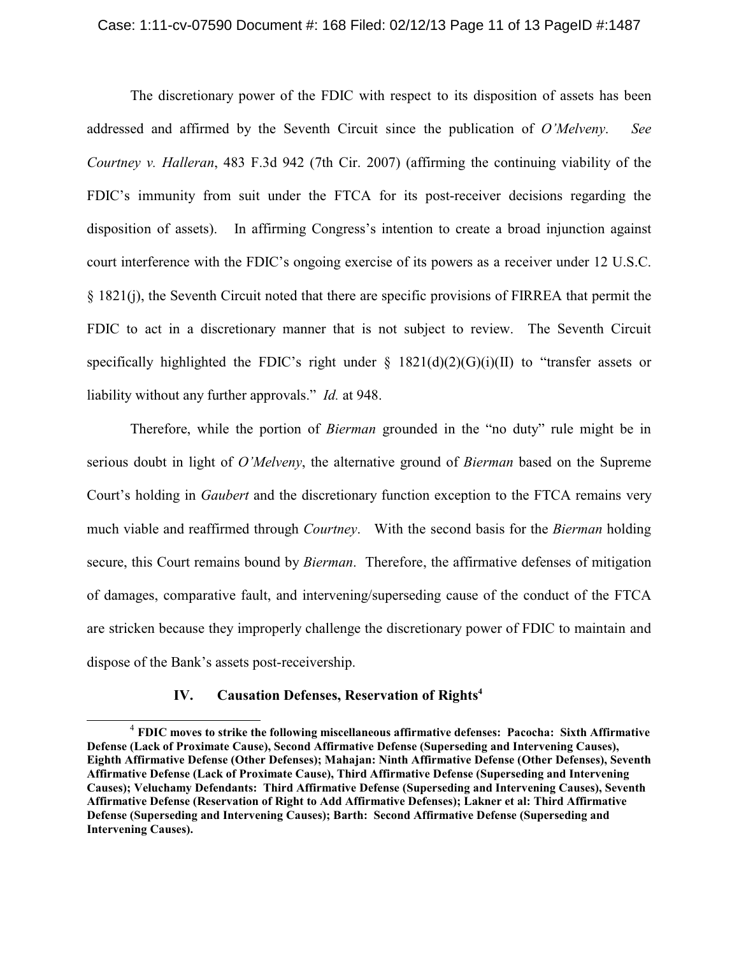### Case: 1:11-cv-07590 Document #: 168 Filed: 02/12/13 Page 11 of 13 PageID #:1487

The discretionary power of the FDIC with respect to its disposition of assets has been addressed and affirmed by the Seventh Circuit since the publication of *O'Melveny*. *See Courtney v. Halleran*, 483 F.3d 942 (7th Cir. 2007) (affirming the continuing viability of the FDIC's immunity from suit under the FTCA for its post-receiver decisions regarding the disposition of assets). In affirming Congress's intention to create a broad injunction against court interference with the FDIC's ongoing exercise of its powers as a receiver under 12 U.S.C. § 1821(j), the Seventh Circuit noted that there are specific provisions of FIRREA that permit the FDIC to act in a discretionary manner that is not subject to review. The Seventh Circuit specifically highlighted the FDIC's right under  $\S$  1821(d)(2)(G)(i)(II) to "transfer assets or liability without any further approvals." *Id.* at 948.

Therefore, while the portion of *Bierman* grounded in the "no duty" rule might be in serious doubt in light of *O'Melveny*, the alternative ground of *Bierman* based on the Supreme Court's holding in *Gaubert* and the discretionary function exception to the FTCA remains very much viable and reaffirmed through *Courtney*. With the second basis for the *Bierman* holding secure, this Court remains bound by *Bierman*. Therefore, the affirmative defenses of mitigation of damages, comparative fault, and intervening/superseding cause of the conduct of the FTCA are stricken because they improperly challenge the discretionary power of FDIC to maintain and dispose of the Bank's assets post-receivership.

## **IV. Causation Defenses, Reservation of Rights<sup>4</sup>**

**FDIC moves to strike the following miscellaneous affirmative defenses: Pacocha: Sixth Affirmative** <sup>4</sup> **Defense (Lack of Proximate Cause), Second Affirmative Defense (Superseding and Intervening Causes), Eighth Affirmative Defense (Other Defenses); Mahajan: Ninth Affirmative Defense (Other Defenses), Seventh Affirmative Defense (Lack of Proximate Cause), Third Affirmative Defense (Superseding and Intervening Causes); Veluchamy Defendants: Third Affirmative Defense (Superseding and Intervening Causes), Seventh Affirmative Defense (Reservation of Right to Add Affirmative Defenses); Lakner et al: Third Affirmative Defense (Superseding and Intervening Causes); Barth: Second Affirmative Defense (Superseding and Intervening Causes).**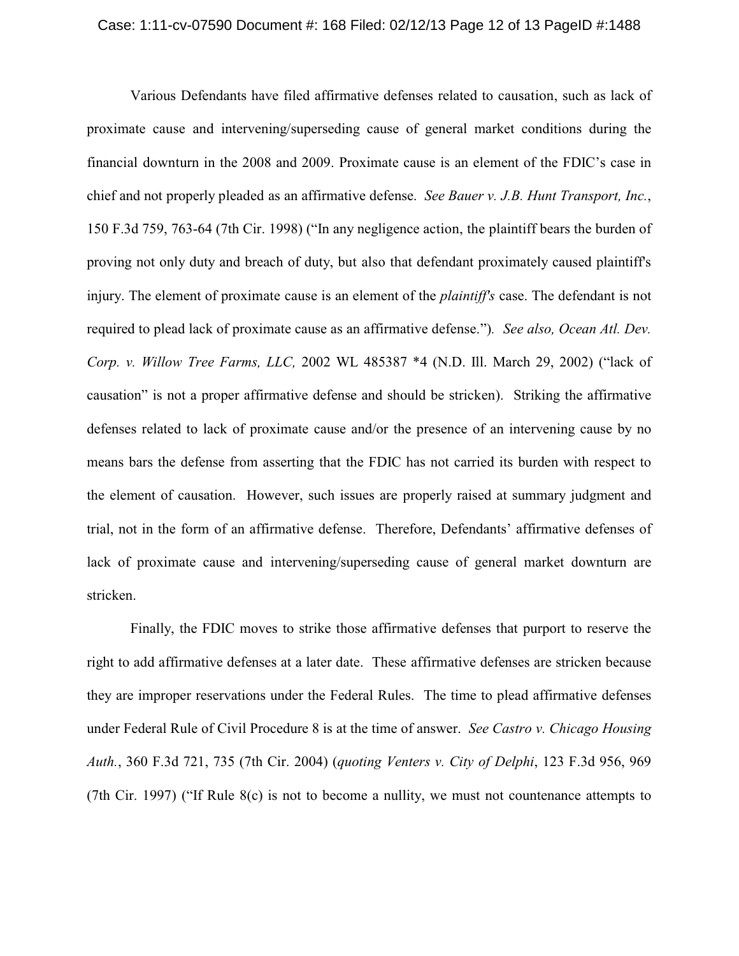#### Case: 1:11-cv-07590 Document #: 168 Filed: 02/12/13 Page 12 of 13 PageID #:1488

Various Defendants have filed affirmative defenses related to causation, such as lack of proximate cause and intervening/superseding cause of general market conditions during the financial downturn in the 2008 and 2009. Proximate cause is an element of the FDIC's case in chief and not properly pleaded as an affirmative defense. *See Bauer v. J.B. Hunt Transport, Inc.*, 150 F.3d 759, 763-64 (7th Cir. 1998) ("In any negligence action, the plaintiff bears the burden of proving not only duty and breach of duty, but also that defendant proximately caused plaintiff's injury. The element of proximate cause is an element of the *plaintiff's* case. The defendant is not required to plead lack of proximate cause as an affirmative defense.")*. See also, Ocean Atl. Dev. Corp. v. Willow Tree Farms, LLC,* 2002 WL 485387 \*4 (N.D. Ill. March 29, 2002) ("lack of causation" is not a proper affirmative defense and should be stricken). Striking the affirmative defenses related to lack of proximate cause and/or the presence of an intervening cause by no means bars the defense from asserting that the FDIC has not carried its burden with respect to the element of causation. However, such issues are properly raised at summary judgment and trial, not in the form of an affirmative defense. Therefore, Defendants' affirmative defenses of lack of proximate cause and intervening/superseding cause of general market downturn are stricken.

Finally, the FDIC moves to strike those affirmative defenses that purport to reserve the right to add affirmative defenses at a later date. These affirmative defenses are stricken because they are improper reservations under the Federal Rules. The time to plead affirmative defenses under Federal Rule of Civil Procedure 8 is at the time of answer. *See Castro v. Chicago Housing Auth.*, 360 F.3d 721, 735 (7th Cir. 2004) (*quoting Venters v. City of Delphi*, 123 F.3d 956, 969 (7th Cir. 1997) ("If Rule 8(c) is not to become a nullity, we must not countenance attempts to